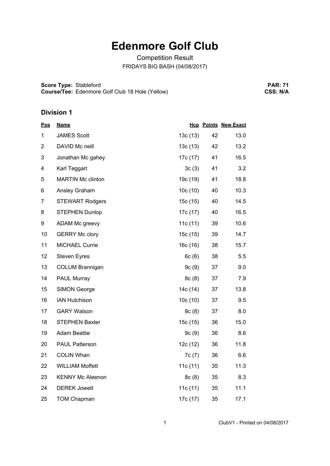## **Edenmore Golf Club**

Competition Result FRIDAYS BIG BASH (04/08/2017)

**Score Type:** Stableford **Course/Tee:** Edenmore Golf Club 18 Hole (Yellow)

**PAR: 71 CSS: N/A**

## **Division 1**

| <u>Pos</u>     | <b>Name</b>              |          |    | <b>Hcp Points New Exact</b> |
|----------------|--------------------------|----------|----|-----------------------------|
| 1              | <b>JAMES Scott</b>       | 13c(13)  | 42 | 13.0                        |
| $\overline{2}$ | DAVID Mc neill           | 13c(13)  | 42 | 13.2                        |
| 3              | Jonathan Mc gahey        | 17c (17) | 41 | 16.5                        |
| 4              | Karl Teggart             | 3c(3)    | 41 | 3.2                         |
| 5              | <b>MARTIN Mc clinton</b> | 19c (19) | 41 | 18.8                        |
| 6              | Ansley Graham            | 10c(10)  | 40 | 10.3                        |
| $\overline{7}$ | <b>STEWART Rodgers</b>   | 15c(15)  | 40 | 14.5                        |
| 8              | <b>STEPHEN Dunlop</b>    | 17c (17) | 40 | 16.5                        |
| 9              | ADAM Mc greevy           | 11c(11)  | 39 | 10.6                        |
| 10             | <b>GERRY Mc clory</b>    | 15c (15) | 39 | 14.7                        |
| 11             | <b>MICHAEL Currie</b>    | 16c(16)  | 38 | 15.7                        |
| 12             | <b>Steven Eyres</b>      | 6c(6)    | 38 | 5.5                         |
| 13             | COLUM Brannigan          | 9c(9)    | 37 | 9.0                         |
| 14             | PAUL Murray              | 8c(8)    | 37 | 7.9                         |
| 15             | <b>SIMON George</b>      | 14c (14) | 37 | 13.8                        |
| 16             | <b>IAN Hutchison</b>     | 10c(10)  | 37 | 9.5                         |
| 17             | <b>GARY Watson</b>       | 8c(8)    | 37 | 8.0                         |
| 18             | <b>STEPHEN Baxter</b>    | 15c (15) | 36 | 15.0                        |
| 19             | <b>Adam Beattie</b>      | 9c(9)    | 36 | 8.6                         |
| 20             | <b>PAUL Patterson</b>    | 12c(12)  | 36 | 11.8                        |
| 21             | <b>COLIN Whan</b>        | 7c(7)    | 36 | 6.6                         |
| 22             | <b>WILLIAM Moffett</b>   | 11c(11)  | 35 | 11.3                        |
| 23             | <b>KENNY Mc Aleenon</b>  | 8c(8)    | 35 | 8.3                         |
| 24             | <b>DEREK Jowett</b>      | 11c(11)  | 35 | 11.1                        |
| 25             | <b>TOM Chapman</b>       | 17c (17) | 35 | 17.1                        |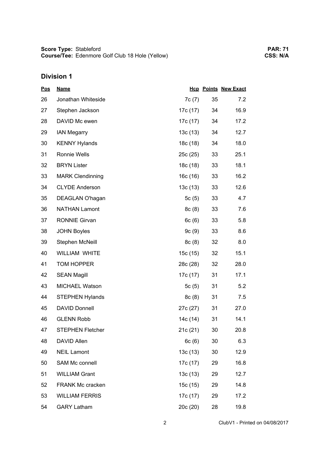## **Division 1**

| <u>Pos</u> | <b>Name</b>             |          |    | <b>Hcp Points New Exact</b> |
|------------|-------------------------|----------|----|-----------------------------|
| 26         | Jonathan Whiteside      | 7c(7)    | 35 | 7.2                         |
| 27         | Stephen Jackson         | 17c (17) | 34 | 16.9                        |
| 28         | DAVID Mc ewen           | 17c (17) | 34 | 17.2                        |
| 29         | <b>IAN Megarry</b>      | 13c(13)  | 34 | 12.7                        |
| 30         | <b>KENNY Hylands</b>    | 18c (18) | 34 | 18.0                        |
| 31         | Ronnie Wells            | 25c (25) | 33 | 25.1                        |
| 32         | <b>BRYN Lister</b>      | 18c (18) | 33 | 18.1                        |
| 33         | <b>MARK Clendinning</b> | 16c (16) | 33 | 16.2                        |
| 34         | <b>CLYDE Anderson</b>   | 13c(13)  | 33 | 12.6                        |
| 35         | DEAGLAN O'hagan         | 5 $c(5)$ | 33 | 4.7                         |
| 36         | <b>NATHAN Lamont</b>    | 8c(8)    | 33 | 7.6                         |
| 37         | <b>RONNIE Girvan</b>    | 6c(6)    | 33 | 5.8                         |
| 38         | <b>JOHN Boyles</b>      | 9c(9)    | 33 | 8.6                         |
| 39         | Stephen McNeill         | 8c(8)    | 32 | 8.0                         |
| 40         | <b>WILLIAM WHITE</b>    | 15c (15) | 32 | 15.1                        |
| 41         | TOM HOPPER              | 28c (28) | 32 | 28.0                        |
| 42         | <b>SEAN Magill</b>      | 17c (17) | 31 | 17.1                        |
| 43         | MICHAEL Watson          | 5c(5)    | 31 | 5.2                         |
| 44         | <b>STEPHEN Hylands</b>  | 8c(8)    | 31 | 7.5                         |
| 45         | <b>DAVID Donnell</b>    | 27c (27) | 31 | 27.0                        |
| 46         | <b>GLENN Robb</b>       | 14c (14) | 31 | 14.1                        |
| 47         | <b>STEPHEN Fletcher</b> | 21c(21)  | 30 | 20.8                        |
| 48         | DAVID Allen             | 6c(6)    | 30 | 6.3                         |
| 49         | <b>NEIL Lamont</b>      | 13c(13)  | 30 | 12.9                        |
| 50         | SAM Mc connell          | 17c (17) | 29 | 16.8                        |
| 51         | <b>WILLIAM Grant</b>    | 13c(13)  | 29 | 12.7                        |
| 52         | <b>FRANK Mc cracken</b> | 15c (15) | 29 | 14.8                        |
| 53         | <b>WILLIAM FERRIS</b>   | 17c (17) | 29 | 17.2                        |
| 54         | <b>GARY Latham</b>      | 20c (20) | 28 | 19.8                        |